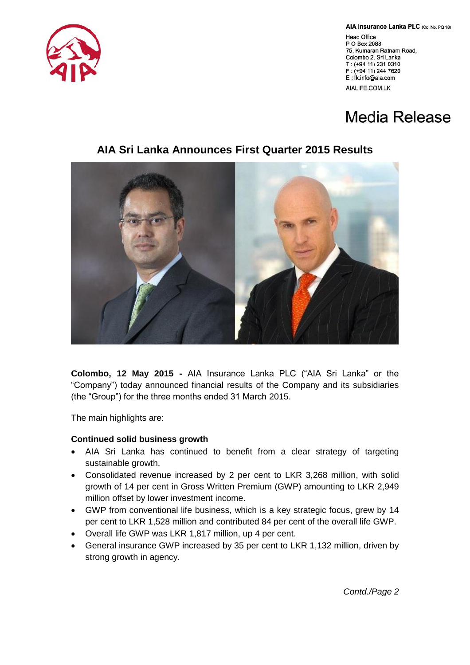AIA Insurance Lanka PLC (Co. No. PQ 18)

Head Office P O Box 2088 75, Kumaran Ratnam Road, Colombo 2, Sri Lanka T: (+94 11) 231 0310 F: (+94 11) 244 7620 E: İk.info@aia.com AIALIFE.COM.LK

## Media Release



**AIA Sri Lanka Announces First Quarter 2015 Results**

**Colombo, 12 May 2015 -** AIA Insurance Lanka PLC ("AIA Sri Lanka" or the "Company") today announced financial results of the Company and its subsidiaries (the "Group") for the three months ended 31 March 2015.

The main highlights are:

## **Continued solid business growth**

- AIA Sri Lanka has continued to benefit from a clear strategy of targeting sustainable growth.
- Consolidated revenue increased by 2 per cent to LKR 3,268 million, with solid growth of 14 per cent in Gross Written Premium (GWP) amounting to LKR 2,949 million offset by lower investment income.
- GWP from conventional life business, which is a key strategic focus, grew by 14 per cent to LKR 1,528 million and contributed 84 per cent of the overall life GWP.
- Overall life GWP was LKR 1,817 million, up 4 per cent.
- General insurance GWP increased by 35 per cent to LKR 1,132 million, driven by strong growth in agency.